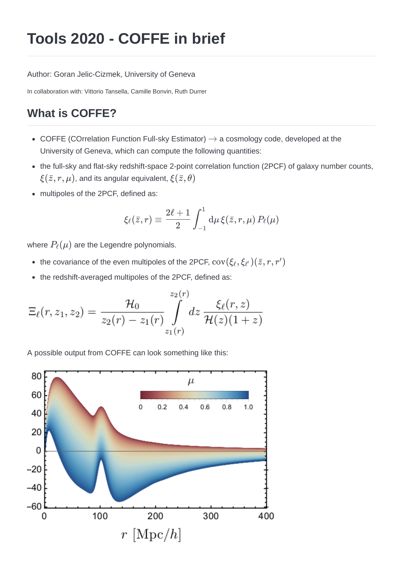# **Tools 2020 - COFFE in brief**

Author: Goran Jelic-Cizmek, University of Geneva

In collaboration with: Vittorio Tansella, Camille Bonvin, Ruth Durrer

# **What is COFFE?**

- COFFE (COrrelation Function Full-sky Estimator)  $\rightarrow$  a cosmology code, developed at the University of Geneva, which can compute the following quantities:
- the full-sky and flat-sky redshift-space 2-point correlation function (2PCF) of galaxy number counts,  $\xi(\bar{z},r,\mu)$ , and its angular equivalent,  $\xi(\bar{z},\theta)$
- multipoles of the 2PCF, defined as:

$$
\xi_\ell(\bar z,r)\equiv \frac{2\ell+1}{2}\int_{-1}^1\mathrm{d}\mu\, \xi(\bar z,r,\mu)\,P_\ell(\mu)
$$

where  $P_{\ell}(\mu)$  are the Legendre polynomials.

- the covariance of the even multipoles of the 2PCF,  $\text{cov}(\xi_\ell,\xi_{\ell^\prime})(\bar{z},r,r^\prime)$
- the redshift-averaged multipoles of the 2PCF, defined as:

$$
\Xi_{\ell}(r, z_1, z_2) = \frac{\mathcal{H}_0}{z_2(r) - z_1(r)} \int_{z_1(r)}^{z_2(r)} dz \frac{\xi_{\ell}(r, z)}{\mathcal{H}(z)(1+z)}
$$

A possible output from COFFE can look something like this:

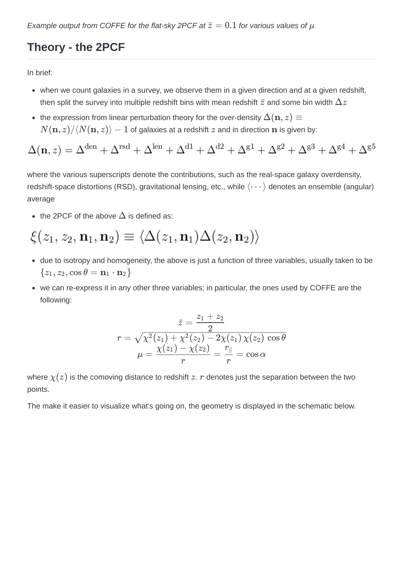# **Theory - the 2PCF**

In brief:

- when we count galaxies in a survey, we observe them in a given direction and at a given redshift, then split the survey into multiple redshift bins with mean redshift  $\bar{z}$  and some bin width  $\Delta z$
- the expression from linear perturbation theory for the over-density  $\Delta(\mathbf{n},z)\equiv 1$  $\partial N(\mathbf{n},z)/\langle N(\mathbf{n},z)\rangle-1$  of galaxies at a redshift  $z$  and in direction  $\mathbf{n}$  is given by:

$$
\Delta(\mathbf{n},z) = \Delta^{\text{den}} + \Delta^{\text{rsd}} + \Delta^{\text{len}} + \Delta^{\text{d1}} + \Delta^{\text{d2}} + \Delta^{\text{g1}} + \Delta^{\text{g2}} + \Delta^{\text{g3}} + \Delta^{\text{g4}} + \Delta^{\text{g5}}
$$

where the various superscripts denote the contributions, such as the real-space galaxy overdensity, redshift-space distortions (RSD), gravitational lensing, etc., while  $\langle \cdots \rangle$  denotes an ensemble (angular) average

the 2PCF of the above  $\Delta$  is defined as:

$$
\xi(z_1, z_2, \mathbf{n}_1, \mathbf{n}_2) \equiv \langle \Delta(z_1, \mathbf{n}_1) \Delta(z_2, \mathbf{n}_2) \rangle
$$

- due to isotropy and homogeneity, the above is just a function of three variables, usually taken to be  $\{z_1, z_2, \cos \theta = \mathbf{n}_1 \cdot \mathbf{n}_2\}$
- we can re-express it in any other three variables; in particular, the ones used by COFFE are the following:

$$
\bar{z}=\frac{z_1+z_2}{2} \\\ r=\sqrt{\chi^2(z_1)+\chi^2(z_2)-2\chi(z_1)\,\chi(z_2)\,\cos\theta} \\\mu=\frac{\chi(z_1)-\chi(z_2)}{r}=\frac{r_\parallel}{r}=\cos\alpha
$$

where  $\chi(z)$  is the comoving distance to redshift  $z.$   $r$  denotes just the separation between the two points.

The make it easier to visualize what's going on, the geometry is displayed in the schematic below.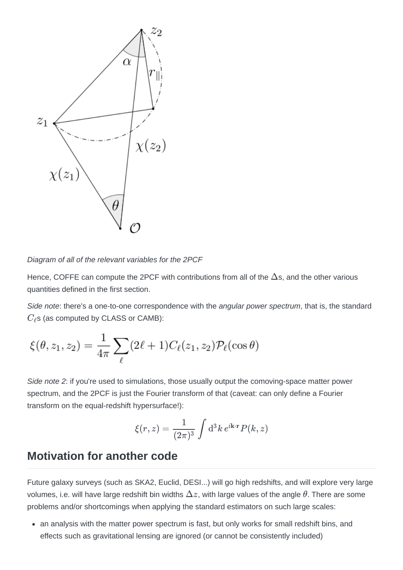

*Diagram of all of the relevant variables for the 2PCF*

Hence, COFFE can compute the 2PCF with contributions from all of the  $\Delta$ s, and the other various quantities defined in the first section.

*Side note*: there's a one-to-one correspondence with the *angular power spectrum*, that is, the standard  $C_{\ell}$ s (as computed by CLASS or CAMB):

$$
\xi(\theta, z_1, z_2) = \frac{1}{4\pi} \sum_{\ell} (2\ell + 1) C_{\ell}(z_1, z_2) \mathcal{P}_{\ell}(\cos \theta)
$$

*Side note 2*: if you're used to simulations, those usually output the comoving-space matter power spectrum, and the 2PCF is just the Fourier transform of that (caveat: can only define a Fourier transform on the equal-redshift hypersurface!):

$$
\xi(r,z) = \frac{1}{(2\pi)^3} \int d^3k \, e^{i\mathbf{k}\cdot\mathbf{r}} P(k,z)
$$

#### **Motivation for another code**

Future galaxy surveys (such as SKA2, Euclid, DESI...) will go high redshifts, and will explore very large volumes, i.e. will have large redshift bin widths  $\Delta z$ , with large values of the angle  $\theta.$  There are some problems and/or shortcomings when applying the standard estimators on such large scales:

• an analysis with the matter power spectrum is fast, but only works for small redshift bins, and effects such as gravitational lensing are ignored (or cannot be consistently included)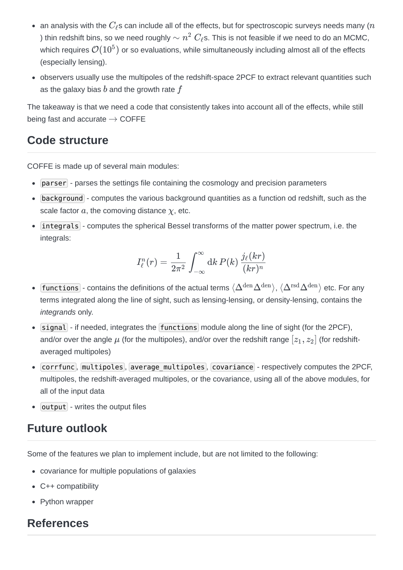- an analysis with the  $C_{\ell}$ s can include all of the effects, but for spectroscopic surveys needs many ( $n$ ) thin redshift bins, so we need roughly  $\sim n^2 \; C_\ell$ s. This is not feasible if we need to do an MCMC, which requires  $\mathcal{O}(10^5)$  or so evaluations, while simultaneously including almost all of the effects (especially lensing).
- observers usually use the multipoles of the redshift-space 2PCF to extract relevant quantities such as the galaxy bias  $b$  and the growth rate  $f$

The takeaway is that we need a code that consistently takes into account all of the effects, while still being fast and accurate  $\rightarrow$  COFFE

## **Code structure**

COFFE is made up of several main modules:

- parser parses the settings file containing the cosmology and precision parameters
- background computes the various background quantities as a function od redshift, such as the  $\alpha$  *scale factor*  $a$ *, the comoving distance*  $\chi$ *, etc.*
- integrals computes the spherical Bessel transforms of the matter power spectrum, i.e. the integrals:

$$
I^n_\ell(r)=\frac{1}{2\pi^2}\int_{-\infty}^\infty \mathrm{d} k\, P(k)\,\frac{j_\ell(kr)}{(kr)^n}
$$

- $functions$  contains the definitions of the actual terms  $\langle\Delta^{\rm den}\Delta^{\rm den}\rangle$ ,  $\langle\Delta^{\rm rsd}\Delta^{\rm den}\rangle$  etc. For any  $\bullet$ terms integrated along the line of sight, such as lensing-lensing, or density-lensing, contains the *integrands* only.
- $\bullet$  signal if needed, integrates the functions module along the line of sight (for the 2PCF), and/or over the angle  $\mu$  (for the multipoles), and/or over the redshift range  $[z_1,z_2]$  (for redshiftaveraged multipoles)
- Corrfunc, multipoles, average multipoles, covariance respectively computes the 2PCF, multipoles, the redshift-averaged multipoles, or the covariance, using all of the above modules, for all of the input data
- $\bullet$  output writes the output files

### **Future outlook**

Some of the features we plan to implement include, but are not limited to the following:

- covariance for multiple populations of galaxies
- C++ compatibility
- Python wrapper

## **References**